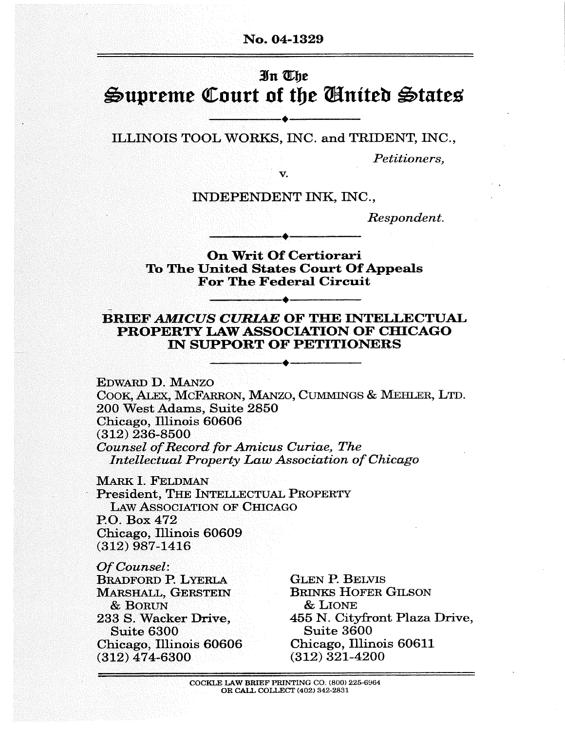#### No. 04-1329

#### 3ht KFje

# Supreme Court of the Ginited States

ILLINOIS TOOL WORKS, INC. and TRIDENT, INC.,

Petitioners,

v.

INDEPENDENT INK, INC.,

Respondent.

#### **On Writ Of Certiorari** To The United States Court Of Appeals For The Federal Circuit

#### BRIEF AMICUS CURIAE OF THE INTELLECTUAL PROPERTY LAW ASSOCIATION OF CHICAGO IN SUPPORT OF PETITIONERS

Edward D. Manzo COOK, ALEX, MCFARRON, MANZO, CUMMINGS & MEHLER, LTD. 200 West Adams, Suite 2850 Chicago, Illinois 60606 (312) 236-8500 Counsel of Record for Amicus Curiae, The Intellectual Property Law Association of Chicago

MARK I. FELDMAN President, THE INTELLECTUAL PROPERTY Law Association of Chicago P.O. Box 472 Chicago, Illinois 60609 (312) 987-1416

Of Counsel: Bradford P. Lyerla MARSHALL, GERSTEIN & Borun 233 S. Wacker Drive, Suite 6300 Chicago, Illinois 60606 (312) 474-6300

Glen P. Belvis Brinks Hofer Gilson & Lione 455 N. Cityfront Plaza Drive, Suite 3600 Chicago, Illinois 60611 (312) 321-4200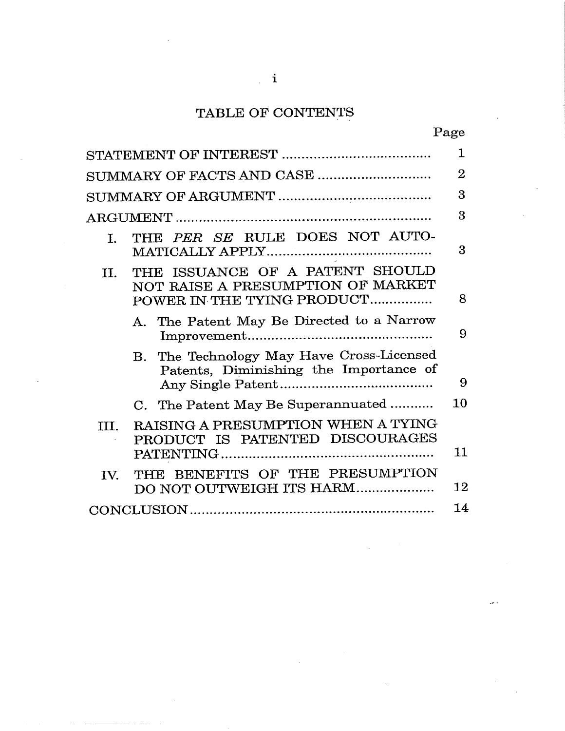# TABLE OF CONTENTS

| ı<br>г.<br>r<br>٠ |
|-------------------|
|-------------------|

|                |                                                                                                    | $\mathbf 1$    |
|----------------|----------------------------------------------------------------------------------------------------|----------------|
|                |                                                                                                    | $\overline{2}$ |
|                |                                                                                                    | 3              |
|                |                                                                                                    | 3              |
| L.             | THE PER SE RULE DOES NOT AUTO-                                                                     | 3              |
| $\mathbf{H}$ . | THE ISSUANCE OF A PATENT SHOULD<br>NOT RAISE A PRESUMPTION OF MARKET<br>POWER IN THE TYING PRODUCT | 8              |
|                | A. The Patent May Be Directed to a Narrow                                                          | 9              |
|                | B. The Technology May Have Cross-Licensed<br>Patents, Diminishing the Importance of                | 9              |
|                | C. The Patent May Be Superannuated                                                                 | 10             |
| TTT.           | RAISING A PRESUMPTION WHEN A TYING<br>PRODUCT IS PATENTED DISCOURAGES                              | 11             |
| $\mathbf{IV}$  | THE BENEFITS OF THE PRESUMPTION<br>DO NOT OUTWEIGH ITS HARM                                        | 12             |
|                |                                                                                                    |                |
|                |                                                                                                    |                |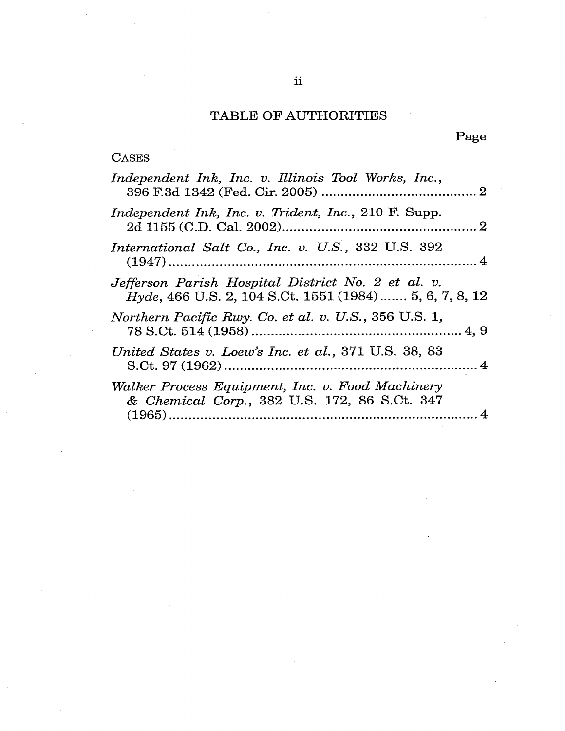# TABLE OF AUTHORITIES

# Page

# **CASES**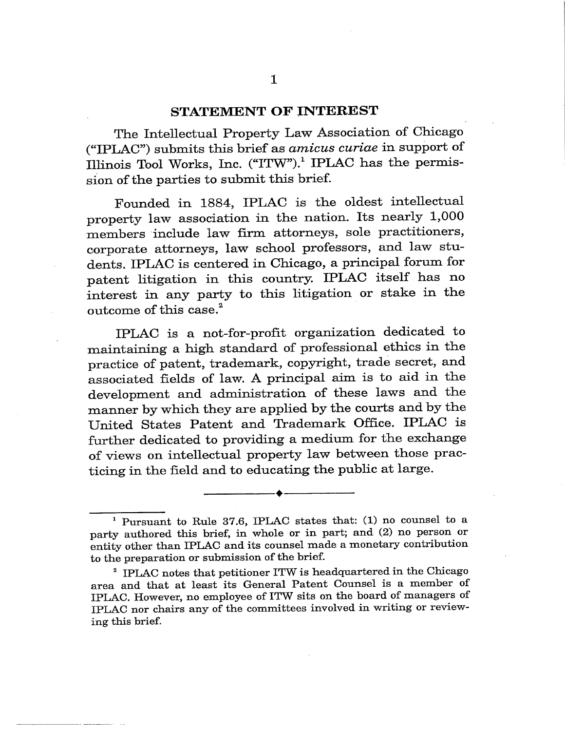#### STATEMENT OF INTEREST

The Intellectual Property Law Association of Chicago ("IPLAC") submits this brief as *amicus curiae* in support of Illinois Tool Works, Inc. ("ITW").<sup>1</sup> IPLAC has the permission of the parties to submit this brief.

Founded in 1884, IPLAC is the oldest intellectual property law association in the nation. Its nearly 1,000 members include law firm attorneys, sole practitioners, corporate attorneys, law school professors, and law students. IPLAC is centered in Chicago, a principal forum for patent litigation in this country. IPLAC itself has no interest in any party to this litigation or stake in the outcome of this case.<sup>2</sup>

TFT,A is a not-for-profit organization dedicated to aintaining a high standard of professional ethics in the practice of patent, trademark, copyright, trade secret, and associated fields of law. A principal aim is to aid in the development and administration of these laws and the manner by which they are applied by the courts and by the United States Patent and Trademark Office. IPLAC is further dedicated to providing a medium for the exchange of views on intellectual property law between those practicing in the field and to educating the public at large.

<sup>&</sup>lt;sup>1</sup> Pursuant to Rule 37.6, IPLAC states that: (1) no counsel to a party authored this brief, in whole or in part; and (2) no person or entity other than IPLAC and its counsel made a monetary contribution to the preparation or submission of the brief.

<sup>&</sup>lt;sup>2</sup> IPLAC notes that petitioner ITW is headquartered in the Chicago area and that at least its General Patent Counsel is a member of IPLAC. However, no employee of ITW sits on the board of managers of IPLAC nor chairs any of the committees involved in writing or reviewing this brief.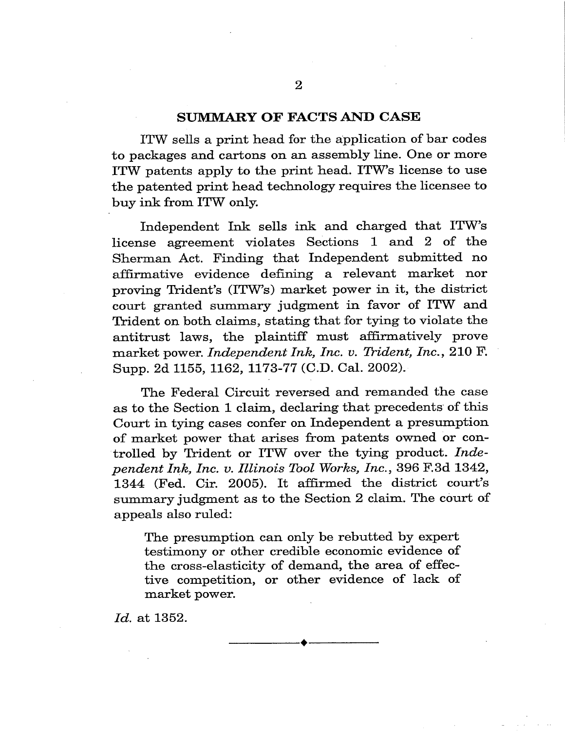#### SUMMARY OF FACTS AND CASE

ITW sells a print head for the application of bar codes to packages and cartons on an assembly line. One or more ITW patents apply to the print head. ITW's license to use the patented print head technology requires the licensee to buy ink from ITW only.

Independent Ink sells ink and charged that ITW s license agreement violates Sections 1 and 2 of the Sherman Act. Finding that Independent submitted no affirmative evidence defining a relevant market nor proving Trident's (ITW's) market power in it, the district court granted summary judgment in favor of ITW and Trident on both claims, stating that for tying to violate the antitrust laws, the plaintiff must affirmatively prove market power. Independent Ink, Inc. v. Trident, Inc., 210 F. Supp. 2d 1155, 1162, 1173-77 (C.D. Cal. 2002).

The Federal Circuit reversed and remanded the case as to the Section 1 claim, declaring that precedents of this Court in tying cases confer on Independent a presumption of market power that arises from patents owned or controlled by Trident or ITW over the tying product. Independent Ink, Inc. v. Illinois Tool Works, Inc., 396 F.3d 1342, 13 4 (Fed. Cir. 2005). It affirmed the district court's summary judgment as to the Section 2 claim. The court of appeals also ruled:

The presumption can only be rebutted by expert testimony or other credible economic evidence of the cross-elasticity of demand, the area of effective competition, or other evidence of lack of market power.

Id. at 1352.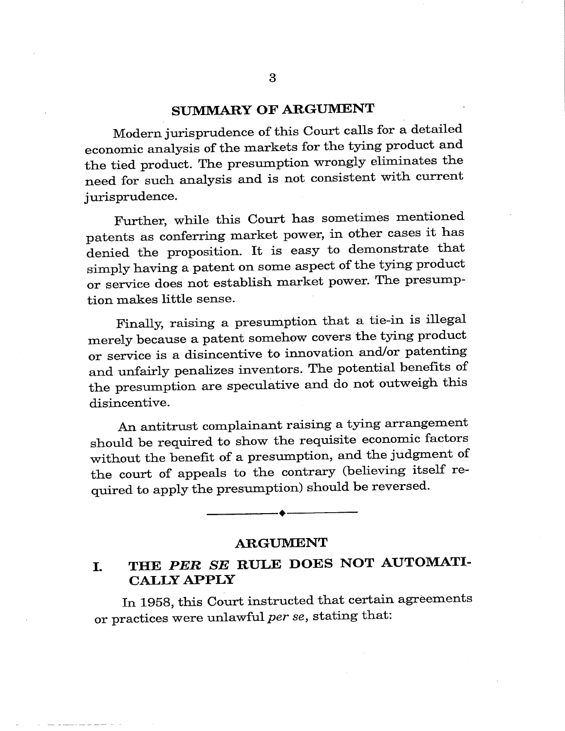### SUMMARY OF ARGUMENT

Modern jurisprudence of this Court calls for a detailed economic analysis of the markets for the tying product and the tied product. The presumption wrongly eliminates the need for such analysis and is not consistent with current jurisprudence.

Further, while this Court has sometimes mentioned patents as conferring market power, in other cases it has denied the proposition. It is easy to demonstrate that simply having a patent on some aspect of the tying product or service does not establish market power. The presumption makes little sense.

Finally, raising a presumption that a tie-in is illegal merely because a patent somehow covers the tying product or service is a disincentive to innovation and/or patenting and unfairly penalizes inventors. The potential benefits of the presumption are speculative and do not outweigh this disincentive.

An antitrust complainant raising a tying arrangement should be required to show the requisite economic factors without the benefit of a presumption, and the judgment of the court of appeals to the contrary (believing itself required to apply the presumption) should be reversed.

#### **ARGUMENT**

# I. THE PER SE RULE DOES NOT AUTOMATI-CALLY APPLY

In 1958, this Court instructed that certain agreements or practices were unlawful per se, stating that: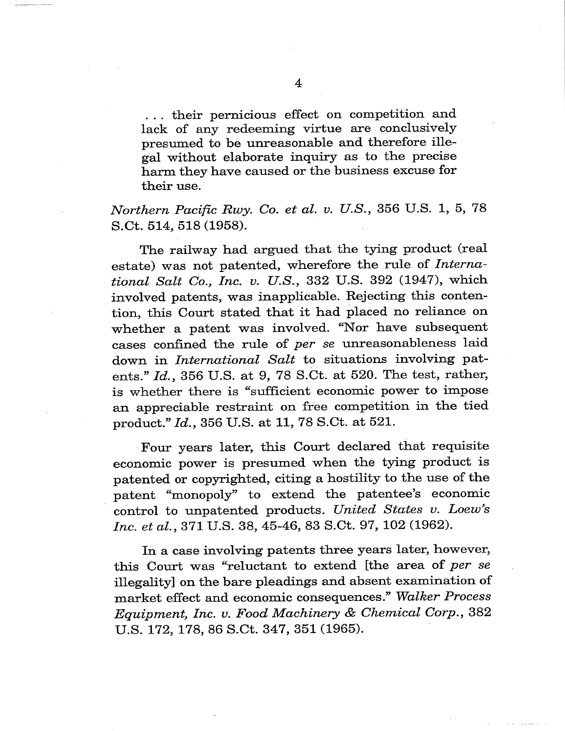. . . their pernicious effect on competition and lack of any redeeming virtue are conclusively presumed to be unreasonable and therefore illegal without elaborate inquiry as to the precise harm they have caused or the business excuse for their use.

# Northern Pacific Rwy. Co. et al. v. U.S., 356 U.S. 1, 5, 78 S.Ct. 514, 518 (1958).

The railway had argued that the tying product (real estate) was not patented, wherefore the rule of *Interna*tional Salt Co., Inc. v. U.S., 332 U.S. 392 (1947), which involved patents, was inapplicable. Rejecting this contention, this Court stated that it had placed no reliance on whether a patent was involved. "Nor have subsequent cases confined the rule of per se unreasonableness laid down in International Salt to situations involving patents."  $Id.$ , 356 U.S. at 9, 78 S.Ct. at 520. The test, rather, is whether there is "sufficient economic power to impose an appreciable restraint on free competition in the tied product." Id., 356 U.S. at 11, 78 S.Ct. at 521.

Four years later, this Court declared that requisite economic power is presumed when the tying product is patented or copyrighted, citing a hostility to the use of the patent "monopoly" to extend the patentee's economic control to unpatented products. United States v. Loew's Inc. et al., 371 U.S. 38, 45-46, 83 S.Ct. 97, 102 (1962).

In a case involving patents three years later, however, this Court was "reluctant to extend [the area of per se illegality] on the bare pleadings and absent examination of market effect and economic consequences." Walker Process Equipment, Inc. v. Food Machinery & Chemical Corp., 382 U.S. 172, 178, 86 S.Ct. 347, 351 (1965).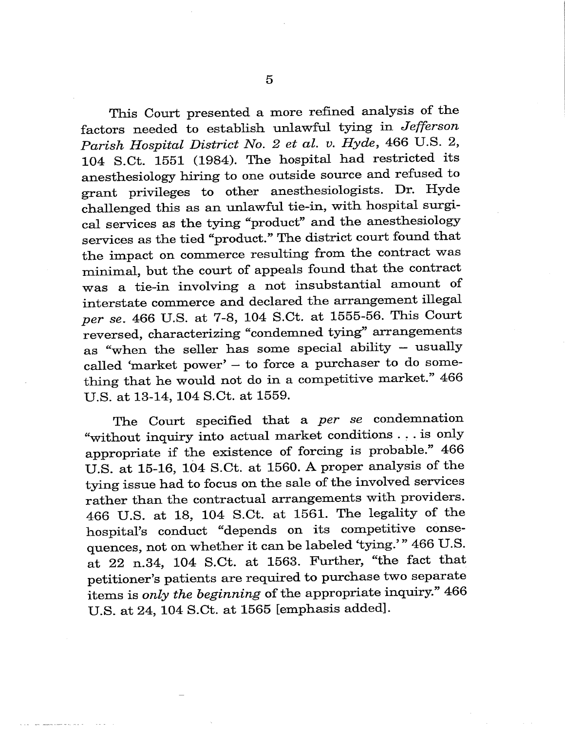This Court presented a more refined analysis of the factors needed to establish unlawful tying in Jefferson Parish Hospital District No. 2 et al. v. Hyde, 466 U.S. 2, 104 S.Ct. 1551 (1984). The hospital had restricted its anesthesiology hiring to one outside source and refused to grant privileges to other anesthesiologists. Dr. Hyde challenged this as an unlawful tie-in, with hospital surgical services as the tying "product" and the anesthesiology services as the tied "product." The district court found that the impact on commerce resulting from the contract was minimal, but the court of appeals found that the contract was a tie-in involving a not insubstantial amount of interstate commerce and declared the arrangement illegal per se. 466 U.S. at 7-8, 104 S.Ct. at 1555-56. This Court reversed, characterizing "condemned tying" arrangements as "when the seller has some special ability - usually called 'market power'  $-$  to force a purchaser to do something that he would not do in a competitive market." 466 U.S. at 13-14, 104 S.Ct. at 1559.

The Court specified that a per se condemnation "without inquiry into actual market conditions ... is only appropriate if the existence of forcing is probable." 466 U.S. at 15-16, 104 S.Ct. at 1560. A proper analysis of the tying issue had to focus on the sale of the involved services rather than the contractual arrangements with providers. 466 U.S. at 18, 104 S.Ct. at 1561. The legality of the hospital's conduct "depends on its competitive consequences, not on whether it can be labeled 'tying.'" 466 U.S. at 22 n.34, 104 S.Ct. at 1563. Further, "the fact that petitioner's patients are required to purchase two separate items is only the beginning of the appropriate inquiry." 466 U.S. at 24, 104 S.Ct. at 1565 [emphasis added].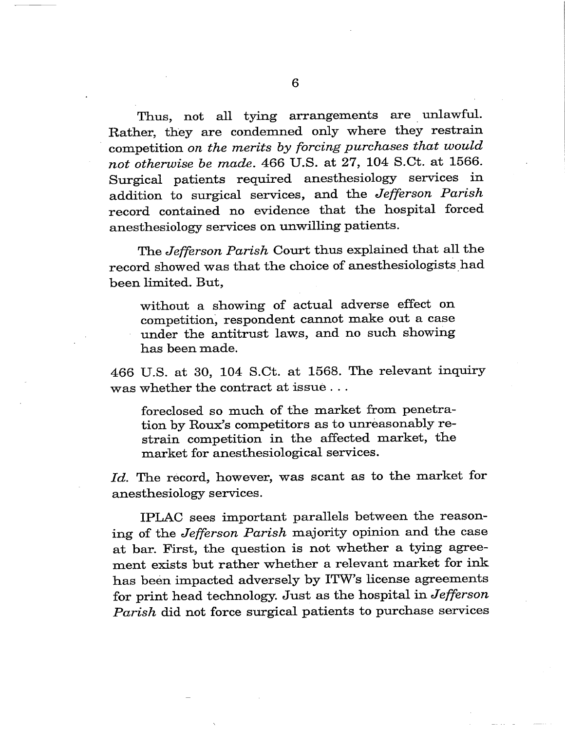Thus, not all tying arrangements are unlawful. Rather, they are condemned only where they restrain competition on the merits by forcing purchases that would not otherwise be made. 466 U.S. at  $27$ ,  $104$  S.Ct. at  $1566$ . Surgical patients required anesthesiology services in addition to surgical services, and the Jefferson Parish record contained no evidence that the hospital forced anesthesiology services on unwilling patients.

The Jefferson Parish Court thus explained that all the record showed was that the choice of anesthesiologists had been limited. But,

without a showing of actual adverse effect on competition, respondent cannot make out a case under the antitrust laws, and no such showing has been made.

466 U.S. at 30, 104 S.Ct. at 1568. The relevant inquiry was whether the contract at issue . . .

foreclosed so much of the market from penetration by Roux's competitors as to unreasonably restrain competition in the affected market, the market for anesthesiological services.

Id. The record, however, was scant as to the market for anesthesiology services.

IPLAC sees important parallels between the reasoning of the Jefferson Parish majority opinion and the case at bar. First, the question is not whether a tying agreement exists but rather whether a relevant market for in has been impacted adversely by ITW's license agreements for print head technology. Just as the hospital in Jefferson Parish did not force surgical patients to purchase services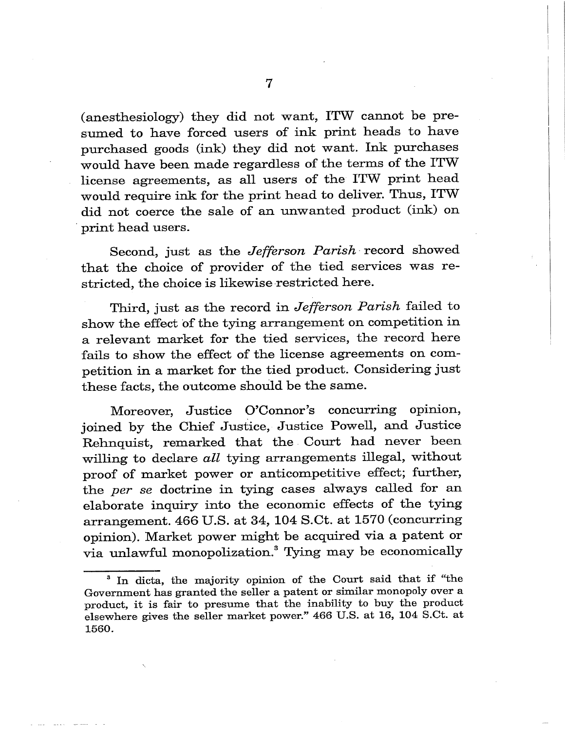(anesthesiology) they did not want, ITW cannot be presumed to have forced users of ink print heads to have purchased goods (ink) they did not want. Ink purchases would have been made regardless of the terms of the ITW license agreements, as all users of the ITW print head would require ink for the print head to deliver. Thus, ITW did not coerce the sale of an unwanted product (ink) on print head users.

Second, just as the Jefferson Parish record showed that the choice of provider of the tied services was restricted, the choice is likewise restricted here.

Third, just as the record in Jefferson Parish failed to show the effect of the tying arrangement on competition in a relevant market for the tied services, the record here fails to show the effect of the license agreements on competition in a market for the tied product. Considering just these facts, the outcome should be the same.

Moreover, Justice O'Connor's concurring opinion, joined by the Chief Justice, Justice Powell, and Justice Rehnquist, remarked that the Court had never been willing to declare all tying arrangements illegal, without proof of market power or anticompetitive effect; further, the per se doctrine in tying cases always called for an elaborate inquiry into the economic effects of the tying arrangement.  $466$  U.S. at  $34$ ,  $104$  S.Ct. at  $1570$  (concurring opinion). Market power might be acquired via a patent or via unlawful monopolization.3 Tying may be economically

 $3$  In dicta, the majority opinion of the Court said that if "the Government has granted the seller a patent or similar monopoly over a product, it is fair to presume that the inability to buy the product elsewhere gives the seller market power." 466 U.S. at 16, 104 S.Ct. at 1560.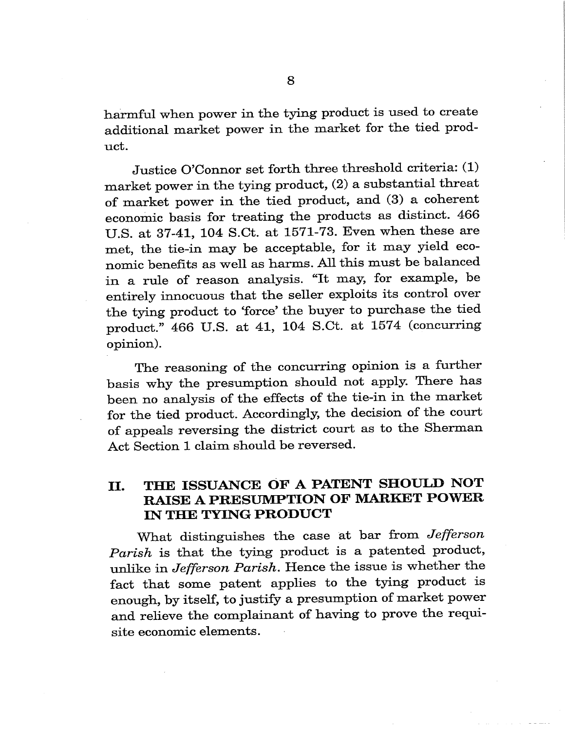harmful when power in the tying product is used to create additional market power in the market for the tied product.

Justice O'Connor set forth three threshold criteria: (1) market power in the tying product,  $(2)$  a substantial threat of market power in the tied product, and (3) a coherent economic basis for treating the products as distinct. 466 U.S. at 37-41, 104 S.Ct. at 1571-73. Even when these are met, the tie-in may be acceptable, for it may yield economic benefits as well as harms. All this must be balanced in a rule of reason analysis. "It may, for example, be entirely innocuous that the seller exploits its control over the tying product to force' the buyer to purchase the tied product. 466 U.S. at 41, 104 S.Ct. at 1574 (concurring opinion).

The reasoning of the concurring opinion is a further basis why the presumption should not apply. There has been no analysis of the effects of the tie-in in the market for the tied product. Accordingly, the decision of the court of appeals reversing the district court as to the Sherman Act Section 1 claim should be reversed.

## II. THE ISSUANCE OF A PATENT SHOULD NOT RAISE A PRESUMPTION OF MARKET POWER IN THE TYING PRODUCT

What distinguishes the case at bar from Jefferson Parish is that the tying product is a patented product, unlike in Jefferson Parish. Hence the issue is whether the fact that some patent applies to the tying product is enough, by itself, to justify a presumption of market power and relieve the complainant of having to prove the requisite economic elements.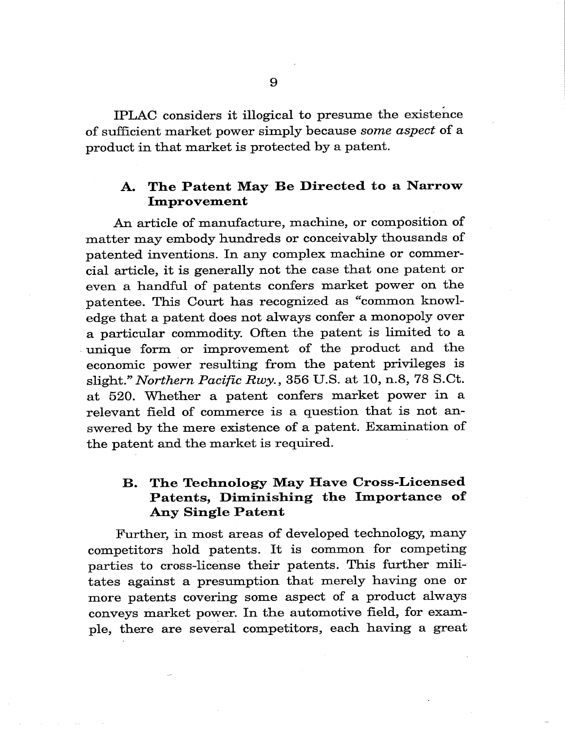IPLAC considers it illogical to presume the existence of sufficient market power simply because some aspect of a product in that market is protected by a patent.

### A. The Patent May Be Directed to a Narrow Improvement

An article of manufacture, machine, or composition of matter may embody hundreds or conceivably thousands of patented inventions. In any complex machine or commercial article, it is generally not the case that one patent or even a handful of patents confers market power on the patentee. This Court has recognized as "common knowledge that a patent does not always confer a monopoly over a particular commodity. Often the patent is limited to a unique form or improvement of the product and the economic power resulting from the patent privileges is slight." Northern Pacific Rwy., 356 U.S. at 10, n.8, 78 S.Ct. at 520. Whether a patent confers market power in a relevant field of commerce is a question that is not answered by the mere existence of a patent. Examination of the patent and the market is required.

### B. The Technology May Have Cross-Licensed Patents, Diminishing the Importance of Any Single Patent

Further, in most areas of developed technology, many competitors hold patents. It is common for competin parties to cross-license their patents. This further militates against a presumption that merely having one or more patents covering some aspect of a product always conveys market power. In the automotive field, for exam ple, there are several competitors, each having a great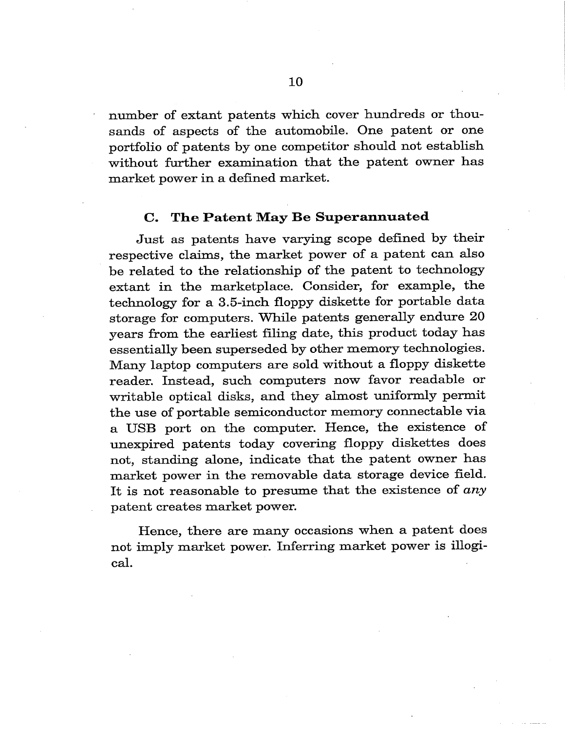number of extant patents which cover hundreds or thousands of aspects of the automobile. One patent or one portfolio of patents by one competitor should not establish without further examination that the patent owner has market power in a defined market.

#### C. The Patent May Be Superannuated

Just as patents have varying scope defined by their respective claims, the market power of a patent can also be related to the relationship of the patent to technology extant in the marketplace. Consider, for example, the technology for a 3.5-inch floppy diskette for portable data storage for computers. While patents generally endure 20 years from the earliest filing date, this product today has essentially been superseded by other memory technologies. Many laptop computers are sold without a floppy diskette reader. Instead, such computers now favor readable or writable optical disks, and they almost uniformly permit the use of portable semiconductor memory connectable via a USB port on the computer. Hence, the existence of unexpired patents today covering floppy diskettes does not, standing alone, indicate that the patent owner has market power in the removable data storage device field. It is not reasonable to presume that the existence of any patent creates market power.

Hence, there are many occasions when a patent does not imply market power. Inferring market power is illogical.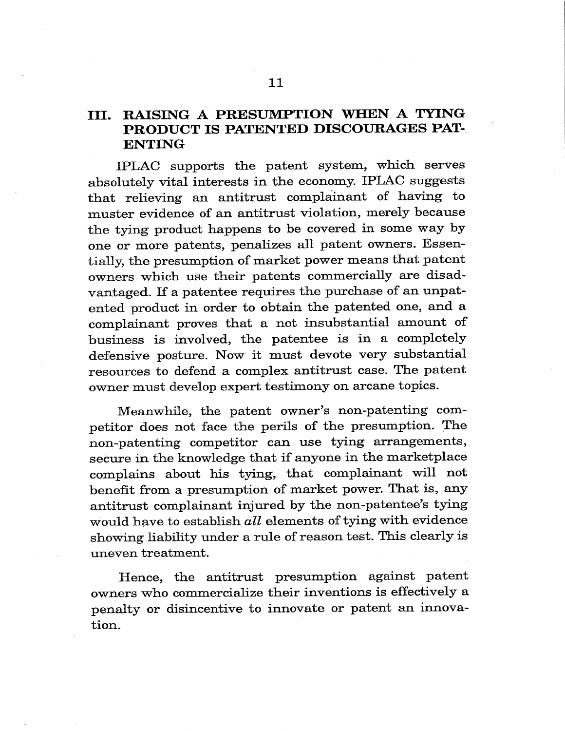### III. RAISING A PRESUMPTION WHEN A TYING PRODUCT IS PATENTED DISCOURAGES PAT-ENTING

IPLAC supports the patent system, which serves absolutely vital interests in the economy. IPLAC suggests that relieving an antitrust complainant of having to muster evidence of an antitrust violation, merely because the tying product happens to be covered in some way by one or more patents, penalizes all patent owners. Essen tially, the presumption of market power means that patent owners which use their patents commercially are disadvantaged. If a patentee requires the purchase of an unpatented product in order to obtain the patented one, and a complainant proves that a not insubstantial amount of business is involved, the patentee is in a completely defensive posture. Now it must devote very substantial resources to defend a complex antitrust case. The patent owner must develop expert testimony on arcane topics.

Meanwhile, the patent owner's non-patenting competitor does not face the perils of the presumption. The non-patenting competitor can use tying arrangements, secure in the knowledge that if anyone in the marketplace complains about his tying, that complainant will not benefit from a presumption of market power. That is, any antitrust complainant injured by the non-patentee's tying would have to establish all elements of tying with evidence showing liability under a rule of reason test. This clearly is uneven treatment.

Hence, the antitrust presumption against patent owners who commercialize their inventions is effectively a penalty or disincentive to innovate or patent an innovation.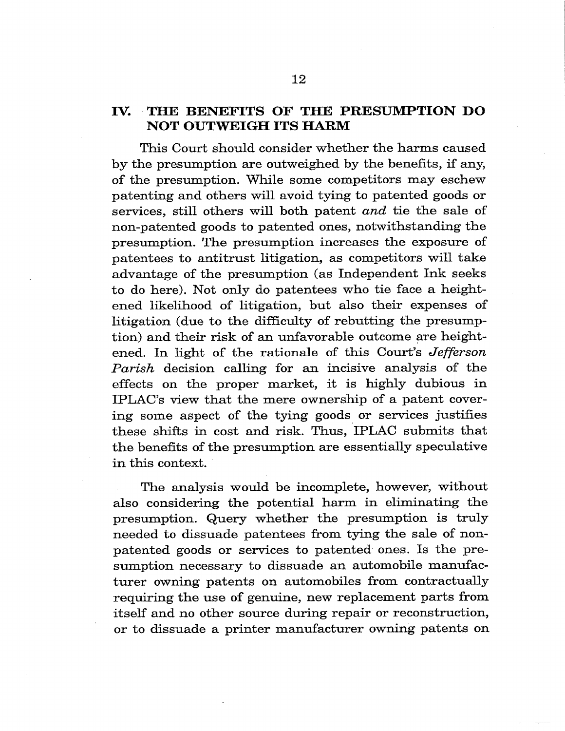### IV. THE BENEFITS OF THE PRESUMPTION DO NOT OUTWEIGH ITS HARM

This Court should consider whether the harms caused by the presumption are outweighed by the benefits, if any, of the presumption. While some competitors may eschew patenting and others will avoid tying to patented goods or services, still others will both patent and tie the sale of non-patented goods to patented ones, notwithstanding the presumption. The presumption increases the exposure of patentees to antitrust litigation, as competitors will take advantage of the presumption (as Independent Ink seeks to do here). Not only do patentees who tie face a heightened likelihood of litigation, but also their expenses of litigation (due to the difficulty of rebutting the presumption) and their risk of an unfavorable outcome are heightened. In light of the rationale of this Court's Jefferson Parish decision calling for an incisive analysis of the effects on the proper market, it is highly dubious in IPLAC's view that the mere ownership of a patent covering some aspect of the tying goods or services justifies these shifts in cost and risk. Thus, IPLAC submits that the benefits of the presumption are essentially speculative in this context.

The analysis would be incomplete, however, without also considering the potential harm in eliminating the presumption. Query whether the presumption is truly needed to dissuade patentees from tying the sale of nonpatented goods or services to patented ones. Is the presumption necessary to dissuade an automobile manufacturer owning patents on automobiles from contractually requiring the use of genuine, new replacement parts from itself and no other source during repair or reconstruction, or to dissuade a printer manufacturer owning patents on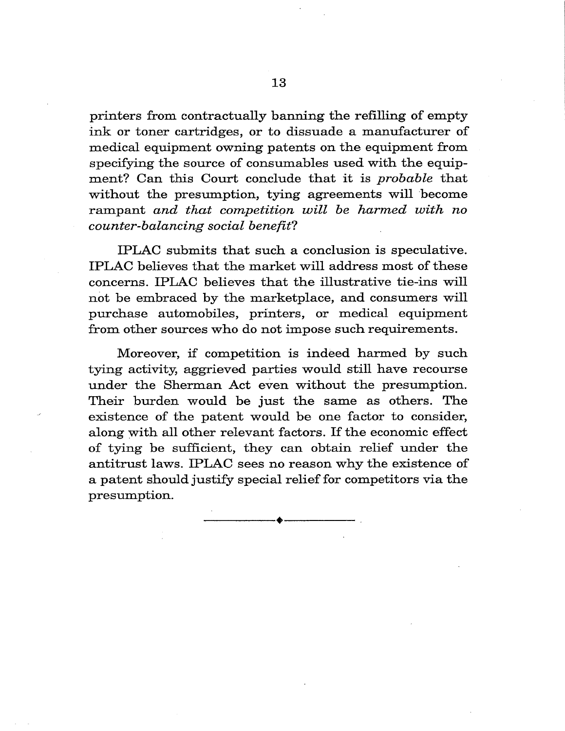printers from contractually banning the refilling of empty ink or toner cartridges, or to dissuade a manufacturer of medical equipment owning patents on the equipment from specifying the source of consumables used with the equipment? Can this Court conclude that it is probable that without the presumption, tying agreements will become rampant and that competition will be harmed with no counter-balancing social benefit?

IPLAC submits that such a conclusion is speculative. IPLAC believes that the market will address most of these concerns. IPLAC believes that the illustrative tie-ins will not be embraced by the marketplace, and consumers will purchase automobiles, printers, or medical equipment from other sources who do not impose such requirements.

Moreover, if competition is indeed harmed by such tying activity, aggrieved parties would still have recourse under the Sherman Act even without the presumption. Their burden would be just the same as others. The existence of the patent would be one factor to consider, along with all other relevant factors. If the economic effect of tying be sufficient, they can obtain relief under the antitrust laws. IPLAC sees no reason why the existence of a patent should justify special relief for competitors via the presumption.